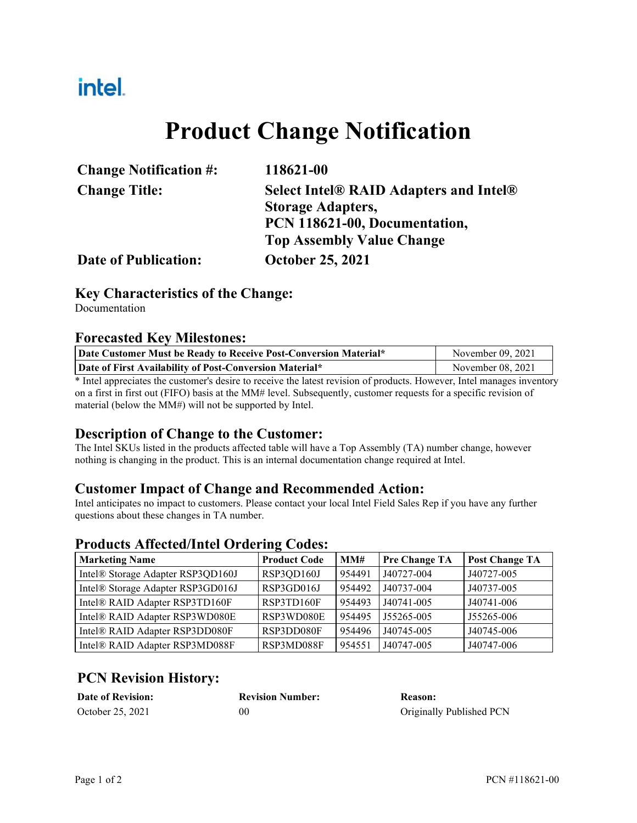# intel.

# **Product Change Notification**

| <b>Change Notification #:</b> | 118621-00                                     |  |  |
|-------------------------------|-----------------------------------------------|--|--|
| <b>Change Title:</b>          | <b>Select Intel® RAID Adapters and Intel®</b> |  |  |
|                               | <b>Storage Adapters,</b>                      |  |  |
|                               | PCN 118621-00, Documentation,                 |  |  |
|                               | <b>Top Assembly Value Change</b>              |  |  |
| <b>Date of Publication:</b>   | <b>October 25, 2021</b>                       |  |  |

### **Key Characteristics of the Change:**

Documentation

#### **Forecasted Key Milestones:**

| Date Customer Must be Ready to Receive Post-Conversion Material* | November 09, 2021 |
|------------------------------------------------------------------|-------------------|
| Date of First Availability of Post-Conversion Material*          | November 08, 2021 |

\* Intel appreciates the customer's desire to receive the latest revision of products. However, Intel manages inventory on a first in first out (FIFO) basis at the MM# level. Subsequently, customer requests for a specific revision of material (below the MM#) will not be supported by Intel.

### **Description of Change to the Customer:**

The Intel SKUs listed in the products affected table will have a Top Assembly (TA) number change, however nothing is changing in the product. This is an internal documentation change required at Intel.

### **Customer Impact of Change and Recommended Action:**

Intel anticipates no impact to customers. Please contact your local Intel Field Sales Rep if you have any further questions about these changes in TA number.

### **Products Affected/Intel Ordering Codes:**

| <b>Marketing Name</b>             | <b>Product Code</b> | MM#    | <b>Pre Change TA</b> | <b>Post Change TA</b> |
|-----------------------------------|---------------------|--------|----------------------|-----------------------|
| Intel® Storage Adapter RSP3QD160J | RSP3QD160J          | 954491 | J40727-004           | J40727-005            |
| Intel® Storage Adapter RSP3GD016J | RSP3GD016J          | 954492 | J40737-004           | J40737-005            |
| Intel® RAID Adapter RSP3TD160F    | RSP3TD160F          | 954493 | J40741-005           | J40741-006            |
| Intel® RAID Adapter RSP3WD080E    | RSP3WD080E          | 954495 | J55265-005           | J55265-006            |
| Intel® RAID Adapter RSP3DD080F    | RSP3DD080F          | 954496 | J40745-005           | J40745-006            |
| Intel® RAID Adapter RSP3MD088F    | RSP3MD088F          | 954551 | J40747-005           | J40747-006            |

## **PCN Revision History:**

| <b>Date of Revision:</b> | <b>Revision Number:</b> | Reason:                  |
|--------------------------|-------------------------|--------------------------|
| October 25, 2021         | 00                      | Originally Published PCN |